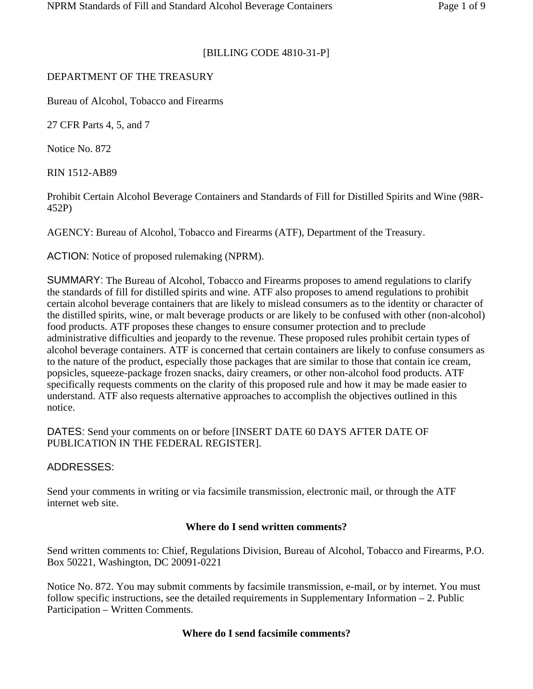#### [BILLING CODE 4810-31-P]

#### DEPARTMENT OF THE TREASURY

Bureau of Alcohol, Tobacco and Firearms

27 CFR Parts 4, 5, and 7

Notice No. 872

RIN 1512-AB89

Prohibit Certain Alcohol Beverage Containers and Standards of Fill for Distilled Spirits and Wine (98R-452P)

AGENCY: Bureau of Alcohol, Tobacco and Firearms (ATF), Department of the Treasury.

ACTION: Notice of proposed rulemaking (NPRM).

SUMMARY: The Bureau of Alcohol, Tobacco and Firearms proposes to amend regulations to clarify the standards of fill for distilled spirits and wine. ATF also proposes to amend regulations to prohibit certain alcohol beverage containers that are likely to mislead consumers as to the identity or character of the distilled spirits, wine, or malt beverage products or are likely to be confused with other (non-alcohol) food products. ATF proposes these changes to ensure consumer protection and to preclude administrative difficulties and jeopardy to the revenue. These proposed rules prohibit certain types of alcohol beverage containers. ATF is concerned that certain containers are likely to confuse consumers as to the nature of the product, especially those packages that are similar to those that contain ice cream, popsicles, squeeze-package frozen snacks, dairy creamers, or other non-alcohol food products. ATF specifically requests comments on the clarity of this proposed rule and how it may be made easier to understand. ATF also requests alternative approaches to accomplish the objectives outlined in this notice.

DATES: Send your comments on or before [INSERT DATE 60 DAYS AFTER DATE OF PUBLICATION IN THE FEDERAL REGISTER].

ADDRESSES:

Send your comments in writing or via facsimile transmission, electronic mail, or through the ATF internet web site.

#### **Where do I send written comments?**

Send written comments to: Chief, Regulations Division, Bureau of Alcohol, Tobacco and Firearms, P.O. Box 50221, Washington, DC 20091-0221

Notice No. 872. You may submit comments by facsimile transmission, e-mail, or by internet. You must follow specific instructions, see the detailed requirements in Supplementary Information – 2. Public Participation – Written Comments.

#### **Where do I send facsimile comments?**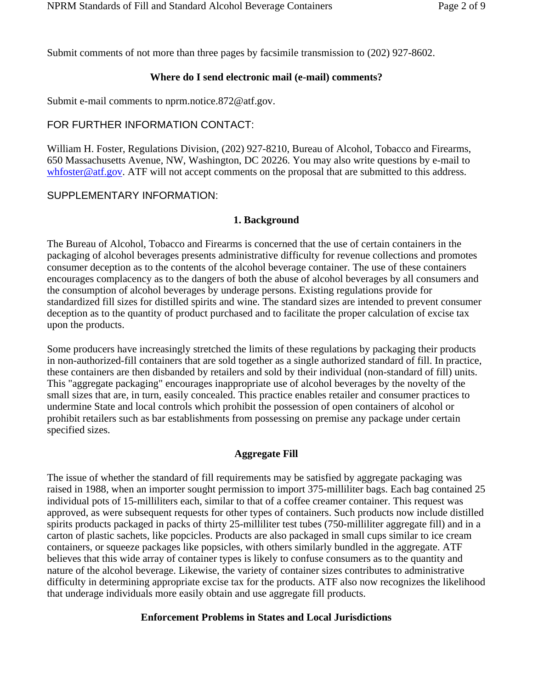Submit comments of not more than three pages by facsimile transmission to (202) 927-8602.

## **Where do I send electronic mail (e-mail) comments?**

Submit e-mail comments to nprm.notice.872@atf.gov.

# FOR FURTHER INFORMATION CONTACT:

William H. Foster, Regulations Division, (202) 927-8210, Bureau of Alcohol, Tobacco and Firearms, 650 Massachusetts Avenue, NW, Washington, DC 20226. You may also write questions by e-mail to whfoster@atf.gov. ATF will not accept comments on the proposal that are submitted to this address.

# SUPPLEMENTARY INFORMATION:

## **1. Background**

The Bureau of Alcohol, Tobacco and Firearms is concerned that the use of certain containers in the packaging of alcohol beverages presents administrative difficulty for revenue collections and promotes consumer deception as to the contents of the alcohol beverage container. The use of these containers encourages complacency as to the dangers of both the abuse of alcohol beverages by all consumers and the consumption of alcohol beverages by underage persons. Existing regulations provide for standardized fill sizes for distilled spirits and wine. The standard sizes are intended to prevent consumer deception as to the quantity of product purchased and to facilitate the proper calculation of excise tax upon the products.

Some producers have increasingly stretched the limits of these regulations by packaging their products in non-authorized-fill containers that are sold together as a single authorized standard of fill. In practice, these containers are then disbanded by retailers and sold by their individual (non-standard of fill) units. This "aggregate packaging" encourages inappropriate use of alcohol beverages by the novelty of the small sizes that are, in turn, easily concealed. This practice enables retailer and consumer practices to undermine State and local controls which prohibit the possession of open containers of alcohol or prohibit retailers such as bar establishments from possessing on premise any package under certain specified sizes.

## **Aggregate Fill**

The issue of whether the standard of fill requirements may be satisfied by aggregate packaging was raised in 1988, when an importer sought permission to import 375-milliliter bags. Each bag contained 25 individual pots of 15-milliliters each, similar to that of a coffee creamer container. This request was approved, as were subsequent requests for other types of containers. Such products now include distilled spirits products packaged in packs of thirty 25-milliliter test tubes (750-milliliter aggregate fill) and in a carton of plastic sachets, like popcicles. Products are also packaged in small cups similar to ice cream containers, or squeeze packages like popsicles, with others similarly bundled in the aggregate. ATF believes that this wide array of container types is likely to confuse consumers as to the quantity and nature of the alcohol beverage. Likewise, the variety of container sizes contributes to administrative difficulty in determining appropriate excise tax for the products. ATF also now recognizes the likelihood that underage individuals more easily obtain and use aggregate fill products.

## **Enforcement Problems in States and Local Jurisdictions**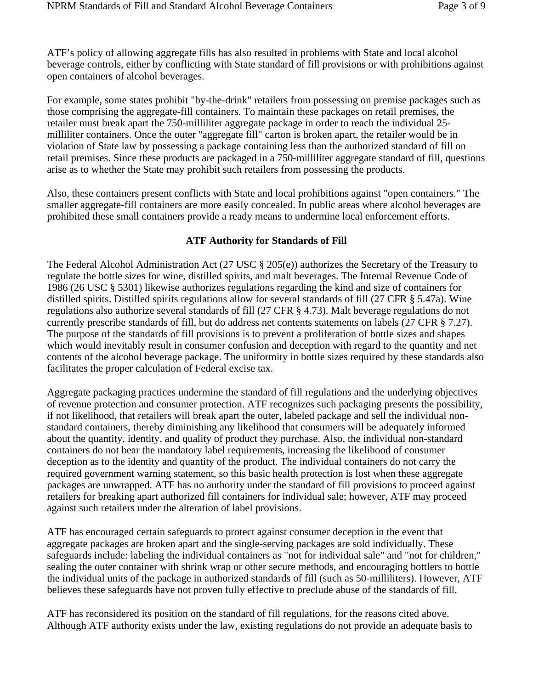ATF's policy of allowing aggregate fills has also resulted in problems with State and local alcohol beverage controls, either by conflicting with State standard of fill provisions or with prohibitions against open containers of alcohol beverages.

For example, some states prohibit "by-the-drink" retailers from possessing on premise packages such as those comprising the aggregate-fill containers. To maintain these packages on retail premises, the retailer must break apart the 750-milliliter aggregate package in order to reach the individual 25 milliliter containers. Once the outer "aggregate fill" carton is broken apart, the retailer would be in violation of State law by possessing a package containing less than the authorized standard of fill on retail premises. Since these products are packaged in a 750-milliliter aggregate standard of fill, questions arise as to whether the State may prohibit such retailers from possessing the products.

Also, these containers present conflicts with State and local prohibitions against "open containers." The smaller aggregate-fill containers are more easily concealed. In public areas where alcohol beverages are prohibited these small containers provide a ready means to undermine local enforcement efforts.

#### **ATF Authority for Standards of Fill**

The Federal Alcohol Administration Act (27 USC § 205(e)) authorizes the Secretary of the Treasury to regulate the bottle sizes for wine, distilled spirits, and malt beverages. The Internal Revenue Code of 1986 (26 USC § 5301) likewise authorizes regulations regarding the kind and size of containers for distilled spirits. Distilled spirits regulations allow for several standards of fill (27 CFR § 5.47a). Wine regulations also authorize several standards of fill (27 CFR § 4.73). Malt beverage regulations do not currently prescribe standards of fill, but do address net contents statements on labels (27 CFR § 7.27). The purpose of the standards of fill provisions is to prevent a proliferation of bottle sizes and shapes which would inevitably result in consumer confusion and deception with regard to the quantity and net contents of the alcohol beverage package. The uniformity in bottle sizes required by these standards also facilitates the proper calculation of Federal excise tax.

Aggregate packaging practices undermine the standard of fill regulations and the underlying objectives of revenue protection and consumer protection. ATF recognizes such packaging presents the possibility, if not likelihood, that retailers will break apart the outer, labeled package and sell the individual nonstandard containers, thereby diminishing any likelihood that consumers will be adequately informed about the quantity, identity, and quality of product they purchase. Also, the individual non-standard containers do not bear the mandatory label requirements, increasing the likelihood of consumer deception as to the identity and quantity of the product. The individual containers do not carry the required government warning statement, so this basic health protection is lost when these aggregate packages are unwrapped. ATF has no authority under the standard of fill provisions to proceed against retailers for breaking apart authorized fill containers for individual sale; however, ATF may proceed against such retailers under the alteration of label provisions.

ATF has encouraged certain safeguards to protect against consumer deception in the event that aggregate packages are broken apart and the single-serving packages are sold individually. These safeguards include: labeling the individual containers as "not for individual sale" and "not for children," sealing the outer container with shrink wrap or other secure methods, and encouraging bottlers to bottle the individual units of the package in authorized standards of fill (such as 50-milliliters). However, ATF believes these safeguards have not proven fully effective to preclude abuse of the standards of fill.

ATF has reconsidered its position on the standard of fill regulations, for the reasons cited above. Although ATF authority exists under the law, existing regulations do not provide an adequate basis to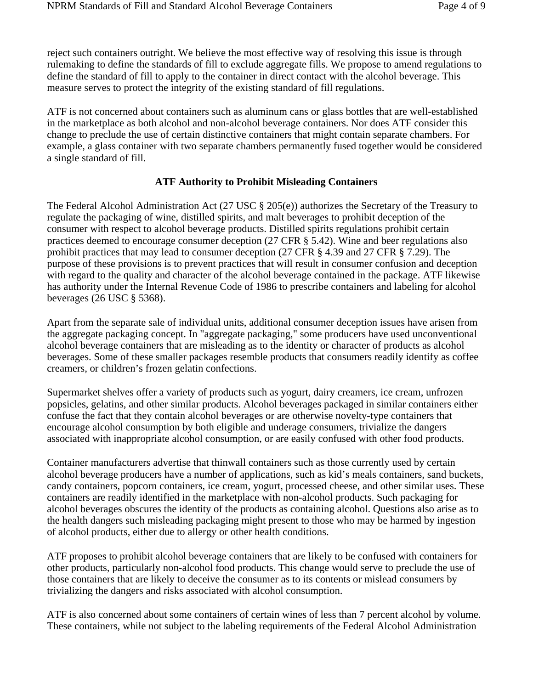reject such containers outright. We believe the most effective way of resolving this issue is through rulemaking to define the standards of fill to exclude aggregate fills. We propose to amend regulations to define the standard of fill to apply to the container in direct contact with the alcohol beverage. This measure serves to protect the integrity of the existing standard of fill regulations.

ATF is not concerned about containers such as aluminum cans or glass bottles that are well-established in the marketplace as both alcohol and non-alcohol beverage containers. Nor does ATF consider this change to preclude the use of certain distinctive containers that might contain separate chambers. For example, a glass container with two separate chambers permanently fused together would be considered a single standard of fill.

# **ATF Authority to Prohibit Misleading Containers**

The Federal Alcohol Administration Act (27 USC § 205(e)) authorizes the Secretary of the Treasury to regulate the packaging of wine, distilled spirits, and malt beverages to prohibit deception of the consumer with respect to alcohol beverage products. Distilled spirits regulations prohibit certain practices deemed to encourage consumer deception (27 CFR § 5.42). Wine and beer regulations also prohibit practices that may lead to consumer deception (27 CFR § 4.39 and 27 CFR § 7.29). The purpose of these provisions is to prevent practices that will result in consumer confusion and deception with regard to the quality and character of the alcohol beverage contained in the package. ATF likewise has authority under the Internal Revenue Code of 1986 to prescribe containers and labeling for alcohol beverages (26 USC § 5368).

Apart from the separate sale of individual units, additional consumer deception issues have arisen from the aggregate packaging concept. In "aggregate packaging," some producers have used unconventional alcohol beverage containers that are misleading as to the identity or character of products as alcohol beverages. Some of these smaller packages resemble products that consumers readily identify as coffee creamers, or children's frozen gelatin confections.

Supermarket shelves offer a variety of products such as yogurt, dairy creamers, ice cream, unfrozen popsicles, gelatins, and other similar products. Alcohol beverages packaged in similar containers either confuse the fact that they contain alcohol beverages or are otherwise novelty-type containers that encourage alcohol consumption by both eligible and underage consumers, trivialize the dangers associated with inappropriate alcohol consumption, or are easily confused with other food products.

Container manufacturers advertise that thinwall containers such as those currently used by certain alcohol beverage producers have a number of applications, such as kid's meals containers, sand buckets, candy containers, popcorn containers, ice cream, yogurt, processed cheese, and other similar uses. These containers are readily identified in the marketplace with non-alcohol products. Such packaging for alcohol beverages obscures the identity of the products as containing alcohol. Questions also arise as to the health dangers such misleading packaging might present to those who may be harmed by ingestion of alcohol products, either due to allergy or other health conditions.

ATF proposes to prohibit alcohol beverage containers that are likely to be confused with containers for other products, particularly non-alcohol food products. This change would serve to preclude the use of those containers that are likely to deceive the consumer as to its contents or mislead consumers by trivializing the dangers and risks associated with alcohol consumption.

ATF is also concerned about some containers of certain wines of less than 7 percent alcohol by volume. These containers, while not subject to the labeling requirements of the Federal Alcohol Administration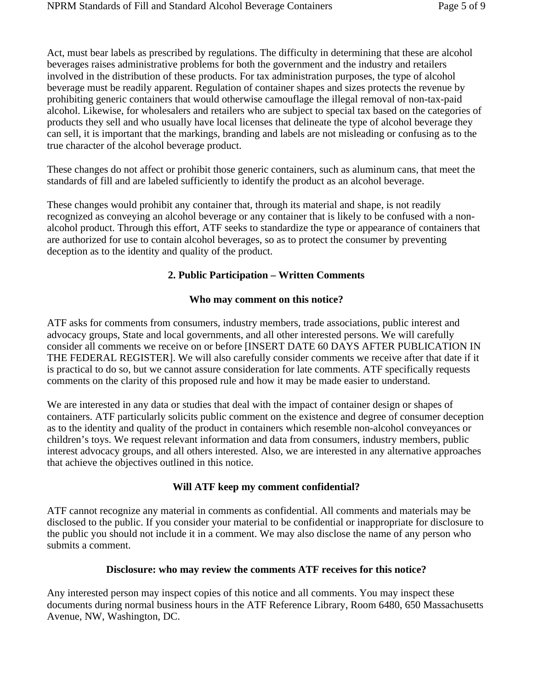Act, must bear labels as prescribed by regulations. The difficulty in determining that these are alcohol beverages raises administrative problems for both the government and the industry and retailers involved in the distribution of these products. For tax administration purposes, the type of alcohol beverage must be readily apparent. Regulation of container shapes and sizes protects the revenue by prohibiting generic containers that would otherwise camouflage the illegal removal of non-tax-paid alcohol. Likewise, for wholesalers and retailers who are subject to special tax based on the categories of products they sell and who usually have local licenses that delineate the type of alcohol beverage they can sell, it is important that the markings, branding and labels are not misleading or confusing as to the true character of the alcohol beverage product.

These changes do not affect or prohibit those generic containers, such as aluminum cans, that meet the standards of fill and are labeled sufficiently to identify the product as an alcohol beverage.

These changes would prohibit any container that, through its material and shape, is not readily recognized as conveying an alcohol beverage or any container that is likely to be confused with a nonalcohol product. Through this effort, ATF seeks to standardize the type or appearance of containers that are authorized for use to contain alcohol beverages, so as to protect the consumer by preventing deception as to the identity and quality of the product.

# **2. Public Participation – Written Comments**

## **Who may comment on this notice?**

ATF asks for comments from consumers, industry members, trade associations, public interest and advocacy groups, State and local governments, and all other interested persons. We will carefully consider all comments we receive on or before [INSERT DATE 60 DAYS AFTER PUBLICATION IN THE FEDERAL REGISTER]. We will also carefully consider comments we receive after that date if it is practical to do so, but we cannot assure consideration for late comments. ATF specifically requests comments on the clarity of this proposed rule and how it may be made easier to understand.

We are interested in any data or studies that deal with the impact of container design or shapes of containers. ATF particularly solicits public comment on the existence and degree of consumer deception as to the identity and quality of the product in containers which resemble non-alcohol conveyances or children's toys. We request relevant information and data from consumers, industry members, public interest advocacy groups, and all others interested. Also, we are interested in any alternative approaches that achieve the objectives outlined in this notice.

## **Will ATF keep my comment confidential?**

ATF cannot recognize any material in comments as confidential. All comments and materials may be disclosed to the public. If you consider your material to be confidential or inappropriate for disclosure to the public you should not include it in a comment. We may also disclose the name of any person who submits a comment.

## **Disclosure: who may review the comments ATF receives for this notice?**

Any interested person may inspect copies of this notice and all comments. You may inspect these documents during normal business hours in the ATF Reference Library, Room 6480, 650 Massachusetts Avenue, NW, Washington, DC.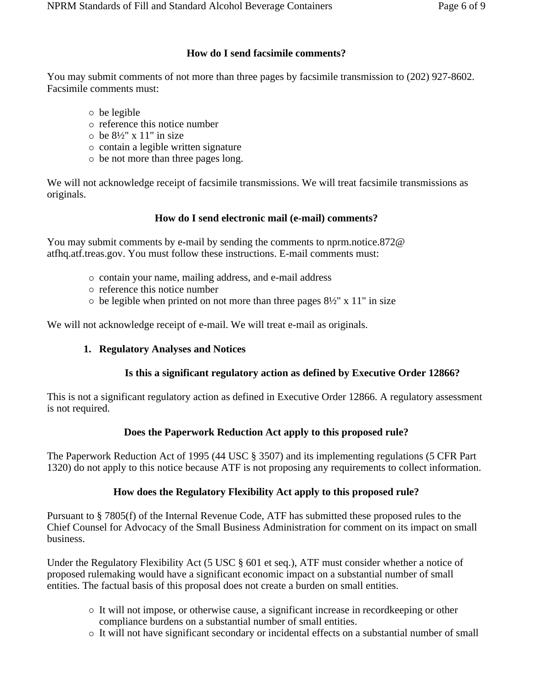#### **How do I send facsimile comments?**

You may submit comments of not more than three pages by facsimile transmission to (202) 927-8602. Facsimile comments must:

- $\circ$  be legible
- { reference this notice number
- $\circ$  be  $8\frac{1}{2}$ " x 11" in size
- $\circ$  contain a legible written signature
- $\circ$  be not more than three pages long.

We will not acknowledge receipt of facsimile transmissions. We will treat facsimile transmissions as originals.

#### **How do I send electronic mail (e-mail) comments?**

You may submit comments by e-mail by sending the comments to nprm.notice.872@ atfhq.atf.treas.gov. You must follow these instructions. E-mail comments must:

- { contain your name, mailing address, and e-mail address
- $\circ$  reference this notice number
- $\circ$  be legible when printed on not more than three pages  $8\frac{1}{2}$ " x 11" in size

We will not acknowledge receipt of e-mail. We will treat e-mail as originals.

#### **1. Regulatory Analyses and Notices**

#### **Is this a significant regulatory action as defined by Executive Order 12866?**

This is not a significant regulatory action as defined in Executive Order 12866. A regulatory assessment is not required.

#### **Does the Paperwork Reduction Act apply to this proposed rule?**

The Paperwork Reduction Act of 1995 (44 USC § 3507) and its implementing regulations (5 CFR Part 1320) do not apply to this notice because ATF is not proposing any requirements to collect information.

#### **How does the Regulatory Flexibility Act apply to this proposed rule?**

Pursuant to § 7805(f) of the Internal Revenue Code, ATF has submitted these proposed rules to the Chief Counsel for Advocacy of the Small Business Administration for comment on its impact on small business.

Under the Regulatory Flexibility Act (5 USC § 601 et seq.), ATF must consider whether a notice of proposed rulemaking would have a significant economic impact on a substantial number of small entities. The factual basis of this proposal does not create a burden on small entities.

- $\circ$  It will not impose, or otherwise cause, a significant increase in record keeping or other compliance burdens on a substantial number of small entities.
- { It will not have significant secondary or incidental effects on a substantial number of small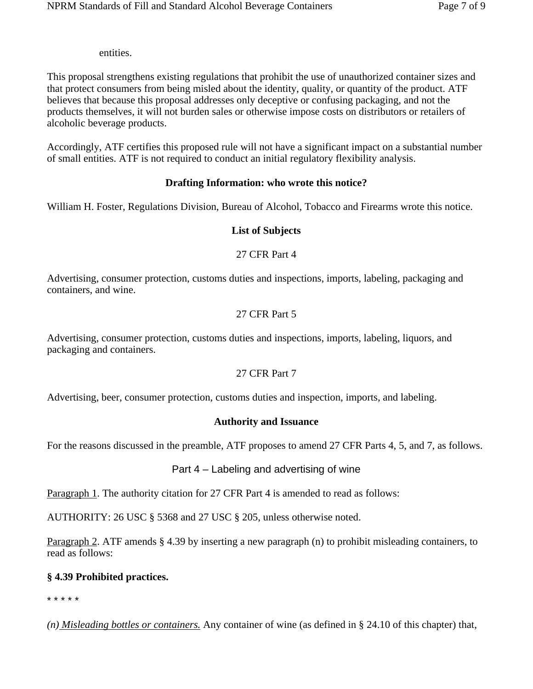entities.

This proposal strengthens existing regulations that prohibit the use of unauthorized container sizes and that protect consumers from being misled about the identity, quality, or quantity of the product. ATF believes that because this proposal addresses only deceptive or confusing packaging, and not the products themselves, it will not burden sales or otherwise impose costs on distributors or retailers of alcoholic beverage products.

Accordingly, ATF certifies this proposed rule will not have a significant impact on a substantial number of small entities. ATF is not required to conduct an initial regulatory flexibility analysis.

# **Drafting Information: who wrote this notice?**

William H. Foster, Regulations Division, Bureau of Alcohol, Tobacco and Firearms wrote this notice.

# **List of Subjects**

## 27 CFR Part 4

Advertising, consumer protection, customs duties and inspections, imports, labeling, packaging and containers, and wine.

# 27 CFR Part 5

Advertising, consumer protection, customs duties and inspections, imports, labeling, liquors, and packaging and containers.

## 27 CFR Part 7

Advertising, beer, consumer protection, customs duties and inspection, imports, and labeling.

## **Authority and Issuance**

For the reasons discussed in the preamble, ATF proposes to amend 27 CFR Parts 4, 5, and 7, as follows.

# Part 4 – Labeling and advertising of wine

Paragraph 1. The authority citation for 27 CFR Part 4 is amended to read as follows:

AUTHORITY: 26 USC § 5368 and 27 USC § 205, unless otherwise noted.

Paragraph 2. ATF amends § 4.39 by inserting a new paragraph (n) to prohibit misleading containers, to read as follows:

# **§ 4.39 Prohibited practices.**

\* \* \* \* \*

*(n) Misleading bottles or containers.* Any container of wine (as defined in § 24.10 of this chapter) that,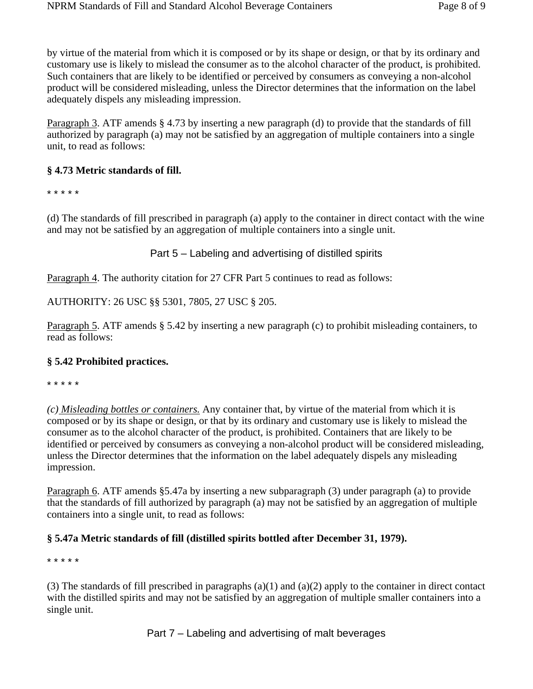by virtue of the material from which it is composed or by its shape or design, or that by its ordinary and customary use is likely to mislead the consumer as to the alcohol character of the product, is prohibited. Such containers that are likely to be identified or perceived by consumers as conveying a non-alcohol product will be considered misleading, unless the Director determines that the information on the label adequately dispels any misleading impression.

Paragraph 3. ATF amends § 4.73 by inserting a new paragraph (d) to provide that the standards of fill authorized by paragraph (a) may not be satisfied by an aggregation of multiple containers into a single unit, to read as follows:

# **§ 4.73 Metric standards of fill.**

\* \* \* \* \*

(d) The standards of fill prescribed in paragraph (a) apply to the container in direct contact with the wine and may not be satisfied by an aggregation of multiple containers into a single unit.

Part 5 – Labeling and advertising of distilled spirits

Paragraph 4. The authority citation for 27 CFR Part 5 continues to read as follows:

AUTHORITY: 26 USC §§ 5301, 7805, 27 USC § 205.

Paragraph 5. ATF amends § 5.42 by inserting a new paragraph (c) to prohibit misleading containers, to read as follows:

## **§ 5.42 Prohibited practices.**

\* \* \* \* \*

*(c) Misleading bottles or containers.* Any container that, by virtue of the material from which it is composed or by its shape or design, or that by its ordinary and customary use is likely to mislead the consumer as to the alcohol character of the product, is prohibited. Containers that are likely to be identified or perceived by consumers as conveying a non-alcohol product will be considered misleading, unless the Director determines that the information on the label adequately dispels any misleading impression.

Paragraph 6. ATF amends §5.47a by inserting a new subparagraph (3) under paragraph (a) to provide that the standards of fill authorized by paragraph (a) may not be satisfied by an aggregation of multiple containers into a single unit, to read as follows:

# **§ 5.47a Metric standards of fill (distilled spirits bottled after December 31, 1979).**

\* \* \* \* \*

(3) The standards of fill prescribed in paragraphs (a)(1) and (a)(2) apply to the container in direct contact with the distilled spirits and may not be satisfied by an aggregation of multiple smaller containers into a single unit.

Part 7 – Labeling and advertising of malt beverages